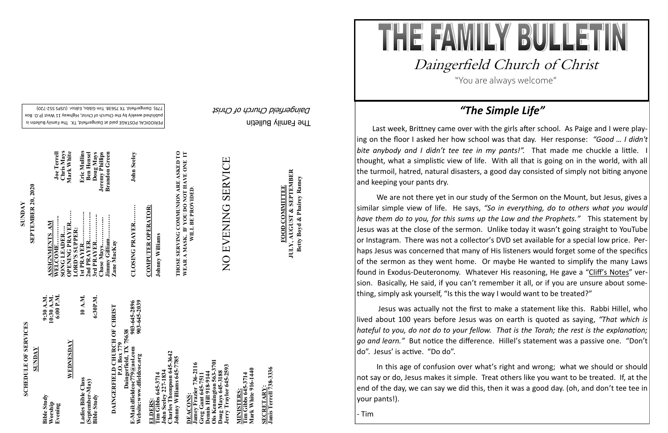## **SCHEDULE OF SERVICES SCHEDULE OF SERVICES**

PERIODICAL POSTAGE paid at Daingerfield, TX. The Family Bulletin is published weekly by the Church of Christ, Highway 11 West (P.O. Box 720) - 779). Daingerfield. TX 75638. Tim Gibbs, Editor. (USPS 552

The Family Bulletin Daingerfield Church of Christ

## 903-645-2896<br>903-645-2039 **DAINGERFIELD CHURCH OF CHRIST**<br>P.O. Box 779<br>Daingerfield, TX 75638<br>E-Mail:dfieldcoc*779@aol.com*<br>Website:www.dfieldcoc.org **DAINGERFIELD CHURCH OF CHRIST Daingerfield, TX 75638**

**ELDERS:**<br>Tim Gibbs 645-3714<br>John Seeley 227-1834<br>Charles Thompson 645-3642<br>Johnny Williams 645-7785 **Tim Gibbs 645-3714 John Seeley 227-1834 Charles Thompson 645-3642 Johnny Williams 645-7785** 

| SUNDAY                                   |                                      |
|------------------------------------------|--------------------------------------|
| <b>Bible Study</b><br>Worship<br>Evening | 10:30 A.M.<br>6:00 P.M.<br>9:30 A.M. |
| WEDNESDAY                                |                                      |
| Ladies Bible Class                       | 10 A.M.                              |
| (September-May)<br><b>Bible Study</b>    | 6:30P.M.                             |

**Ois Kennington 563-3701** Jamey Frazier 736-2116<br>Greg Gant 645-7511<br>Demis Hill 918-9144<br>Ois Kennington 563-3701<br>Doug Mays 645-3188<br>Jerry Traylor 645-2593 **Jamey Frazier 736-2116**  er 736-2116 **Jerry Traylor 645-2593 Greg Gant 645-7511 Dennis Hill 918-9144 Doug Mays 645-3188 DEACONS: DEACONS** 

**Tim Gibbs 645-3714**<br>Mark White 916-1440 **Mark White 916-1440 Tim Gibbs 645-3714 MINISTERS:** MINISTERS

SECRETARY:<br>Janis Terrell 738-3336 **Janis Terrell 738-3336 SECRETARY:**

**SUNDAY<br>SEPTEMBER 20, 2020 SEPTEMBER 20, 2020**

> **E-Mail:dfieldcoc779@aol.com 903-645-2896 Website:www.dfieldcoc.org 903-645-2039**

**CLOSING PRAYER……… John Seeley CLOSING PRAYER.** 

**John Seeley** 

**COMPUTER OPERATOR: COMPUTER OPERATOR:**

Johnny Williams **Johnny Williams**

**JULY, AUGUST & SEPTEMBER**<br>Betty Boyd & Phairey Ramey **JULY, AUGUST & SEPTEMBER FOOD COMMITTEE FOOD COMMITTEE**

THE FAMILY BULLET Daingerfield Church of Christ "You are always welcome"

Last week, Brittney came over with the girls after school. As Paige and I were playing on the floor I asked her how school was that day. Her response: *"Good … I didn't bite anybody and I didn't tee tee in my pants!".* That made me chuckle a little. I thought, what a simplistic view of life. With all that is going on in the world, with all the turmoil, hatred, natural disasters, a good day consisted of simply not biting anyone and keeping your pants dry.

| 2nd PRAYER<br>3rd PRAYER<br>Jimmy Gilliam<br>WELCOME<br>Chase Mays<br>OPENING PRAYER<br>ASSIGNMENTS AM<br>SONG LEADER<br>LORD'S SUPPER:<br>Zane MacKay |
|--------------------------------------------------------------------------------------------------------------------------------------------------------|
|--------------------------------------------------------------------------------------------------------------------------------------------------------|

**THOSE SERVING COMMUNION ARE ASKED TO WEAR A MASK. IF YOU DO NOT HAVE ONE IT**  THOSE SERVING COMMUNION ARE ASKED TO<br>WEAR A MASK. IF YOU DO NOT HAVE ONE IT<br>WILL BE PROVIDED. **WILL BE PROVIDED**.

# SERVICE NO EVENING SERVICE NO EVENING

# **Betty Boyd & Phairey Ramey**

## *"The Simple Life"*

We are not there yet in our study of the Sermon on the Mount, but Jesus, gives a similar simple view of life. He says, *"So in everything, do to others what you would have them do to you, for this sums up the Law and the Prophets."* This statement by Jesus was at the close of the sermon. Unlike today it wasn't going straight to YouTube or Instagram. There was not a collector's DVD set available for a special low price. Perhaps Jesus was concerned that many of His listeners would forget some of the specifics of the sermon as they went home. Or maybe He wanted to simplify the many Laws found in Exodus-Deuteronomy. Whatever His reasoning, He gave a "Cliff's Notes" version. Basically, He said, if you can't remember it all, or if you are unsure about something, simply ask yourself, "Is this the way I would want to be treated?"

*go and learn."* But notice the difference. Hillel's statement was a passive one. "Don't do". Jesus' is active. "Do do".

- Jesus was actually not the first to make a statement like this. Rabbi Hillel, who lived about 100 years before Jesus was on earth is quoted as saying, *"That which is hateful to you, do not do to your fellow. That is the Torah; the rest is the explanation;*
- In this age of confusion over what's right and wrong; what we should or should not say or do, Jesus makes it simple. Treat others like you want to be treated. If, at the end of the day, we can say we did this, then it was a good day. (oh, and don't tee tee in

your pants!).

- Tim